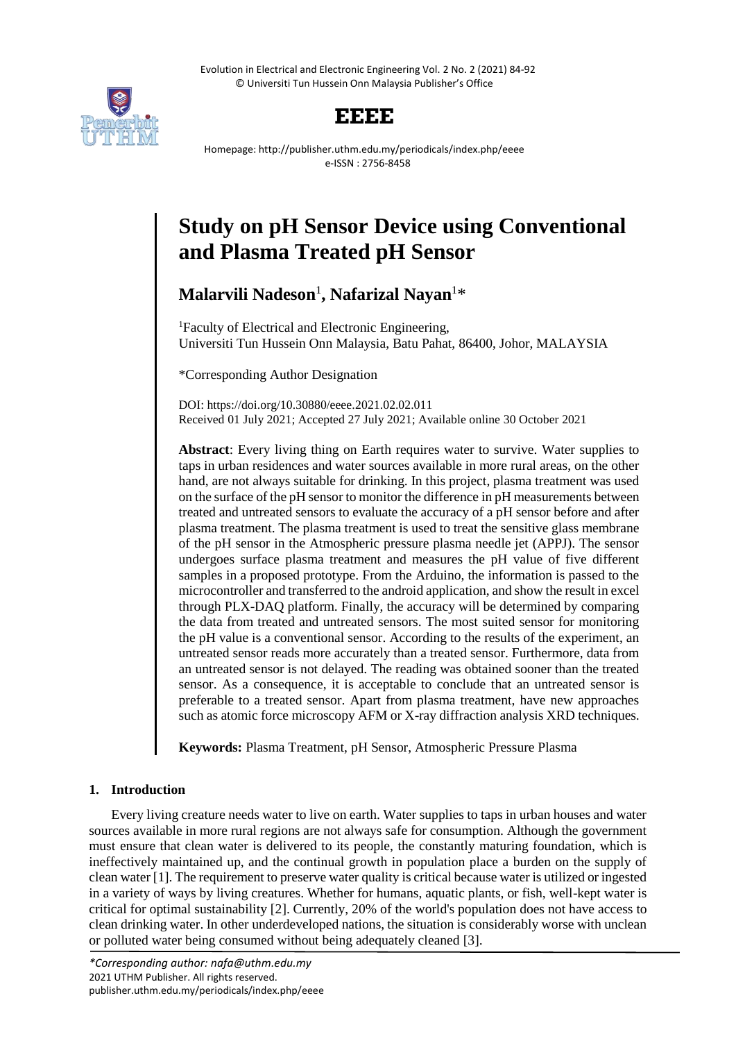Evolution in Electrical and Electronic Engineering Vol. 2 No. 2 (2021) 84-92 © Universiti Tun Hussein Onn Malaysia Publisher's Office



# **EEEE**

Homepage: http://publisher.uthm.edu.my/periodicals/index.php/eeee e-ISSN : 2756-8458

# **Study on pH Sensor Device using Conventional and Plasma Treated pH Sensor**

**Malarvili Nadeson**<sup>1</sup> **, Nafarizal Nayan**<sup>1</sup>\*

<sup>1</sup>Faculty of Electrical and Electronic Engineering, Universiti Tun Hussein Onn Malaysia, Batu Pahat, 86400, Johor, MALAYSIA

\*Corresponding Author Designation

DOI: https://doi.org/10.30880/eeee.2021.02.02.011 Received 01 July 2021; Accepted 27 July 2021; Available online 30 October 2021

**Abstract**: Every living thing on Earth requires water to survive. Water supplies to taps in urban residences and water sources available in more rural areas, on the other hand, are not always suitable for drinking. In this project, plasma treatment was used on the surface of the pH sensor to monitor the difference in pH measurements between treated and untreated sensors to evaluate the accuracy of a pH sensor before and after plasma treatment. The plasma treatment is used to treat the sensitive glass membrane of the pH sensor in the Atmospheric pressure plasma needle jet (APPJ). The sensor undergoes surface plasma treatment and measures the pH value of five different samples in a proposed prototype. From the Arduino, the information is passed to the microcontroller and transferred to the android application, and show the result in excel through PLX-DAQ platform. Finally, the accuracy will be determined by comparing the data from treated and untreated sensors. The most suited sensor for monitoring the pH value is a conventional sensor. According to the results of the experiment, an untreated sensor reads more accurately than a treated sensor. Furthermore, data from an untreated sensor is not delayed. The reading was obtained sooner than the treated sensor. As a consequence, it is acceptable to conclude that an untreated sensor is preferable to a treated sensor. Apart from plasma treatment, have new approaches such as atomic force microscopy AFM or X-ray diffraction analysis XRD techniques.

**Keywords:** Plasma Treatment, pH Sensor, Atmospheric Pressure Plasma

# **1. Introduction**

Every living creature needs water to live on earth. Water supplies to taps in urban houses and water sources available in more rural regions are not always safe for consumption. Although the government must ensure that clean water is delivered to its people, the constantly maturing foundation, which is ineffectively maintained up, and the continual growth in population place a burden on the supply of clean water [1]. The requirement to preserve water quality is critical because water is utilized or ingested in a variety of ways by living creatures. Whether for humans, aquatic plants, or fish, well-kept water is critical for optimal sustainability [2]. Currently, 20% of the world's population does not have access to clean drinking water. In other underdeveloped nations, the situation is considerably worse with unclean or polluted water being consumed without being adequately cleaned [3].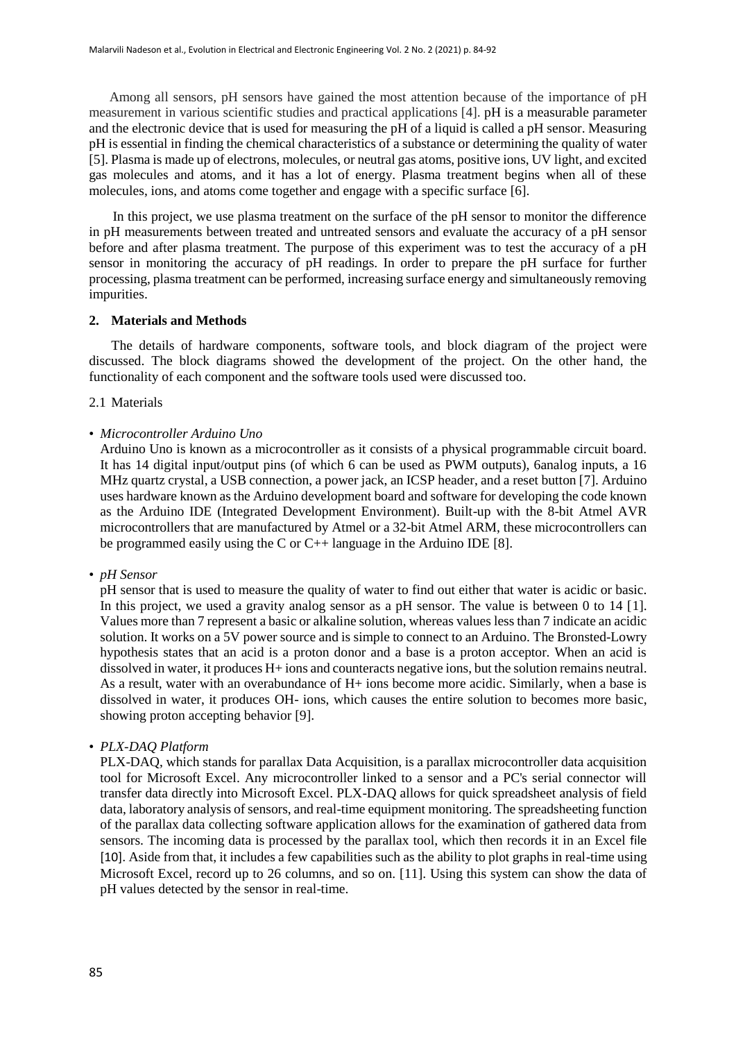Among all sensors, pH sensors have gained the most attention because of the importance of pH measurement in various scientific studies and practical applications [4]. pH is a measurable parameter and the electronic device that is used for measuring the pH of a liquid is called a pH sensor. Measuring pH is essential in finding the chemical characteristics of a substance or determining the quality of water [5]. Plasma is made up of electrons, molecules, or neutral gas atoms, positive ions, UV light, and excited gas molecules and atoms, and it has a lot of energy. Plasma treatment begins when all of these molecules, ions, and atoms come together and engage with a specific surface [6].

 In this project, we use plasma treatment on the surface of the pH sensor to monitor the difference in pH measurements between treated and untreated sensors and evaluate the accuracy of a pH sensor before and after plasma treatment. The purpose of this experiment was to test the accuracy of a pH sensor in monitoring the accuracy of pH readings. In order to prepare the pH surface for further processing, plasma treatment can be performed, increasing surface energy and simultaneously removing impurities.

# **2. Materials and Methods**

The details of hardware components, software tools, and block diagram of the project were discussed. The block diagrams showed the development of the project. On the other hand, the functionality of each component and the software tools used were discussed too.

2.1 Materials

# • *Microcontroller Arduino Uno*

Arduino Uno is known as a microcontroller as it consists of a physical programmable circuit board. It has 14 digital input/output pins (of which 6 can be used as PWM outputs), 6analog inputs, a 16 MHz quartz crystal, a USB connection, a power jack, an ICSP header, and a reset button [7]. Arduino uses hardware known as the Arduino development board and software for developing the code known as the Arduino IDE (Integrated Development Environment). Built-up with the 8-bit Atmel AVR microcontrollers that are manufactured by Atmel or a 32-bit Atmel ARM, these microcontrollers can be programmed easily using the C or  $C_{++}$  language in the Arduino IDE [8].

• *pH Sensor*

pH sensor that is used to measure the quality of water to find out either that water is acidic or basic. In this project, we used a gravity analog sensor as a pH sensor. The value is between 0 to 14 [1]. Values more than 7 represent a basic or alkaline solution, whereas values less than 7 indicate an acidic solution. It works on a 5V power source and is simple to connect to an Arduino. The Bronsted-Lowry hypothesis states that an acid is a proton donor and a base is a proton acceptor. When an acid is dissolved in water, it produces H+ ions and counteracts negative ions, but the solution remains neutral. As a result, water with an overabundance of H+ ions become more acidic. Similarly, when a base is dissolved in water, it produces OH- ions, which causes the entire solution to becomes more basic, showing proton accepting behavior [9].

# • *PLX-DAQ Platform*

PLX-DAQ, which stands for parallax Data Acquisition, is a parallax microcontroller data acquisition tool for Microsoft Excel. Any microcontroller linked to a sensor and a PC's serial connector will transfer data directly into Microsoft Excel. PLX-DAQ allows for quick spreadsheet analysis of field data, laboratory analysis of sensors, and real-time equipment monitoring. The spreadsheeting function of the parallax data collecting software application allows for the examination of gathered data from sensors. The incoming data is processed by the parallax tool, which then records it in an Excel file [10]. Aside from that, it includes a few capabilities such as the ability to plot graphs in real-time using Microsoft Excel, record up to 26 columns, and so on. [11]. Using this system can show the data of pH values detected by the sensor in real-time.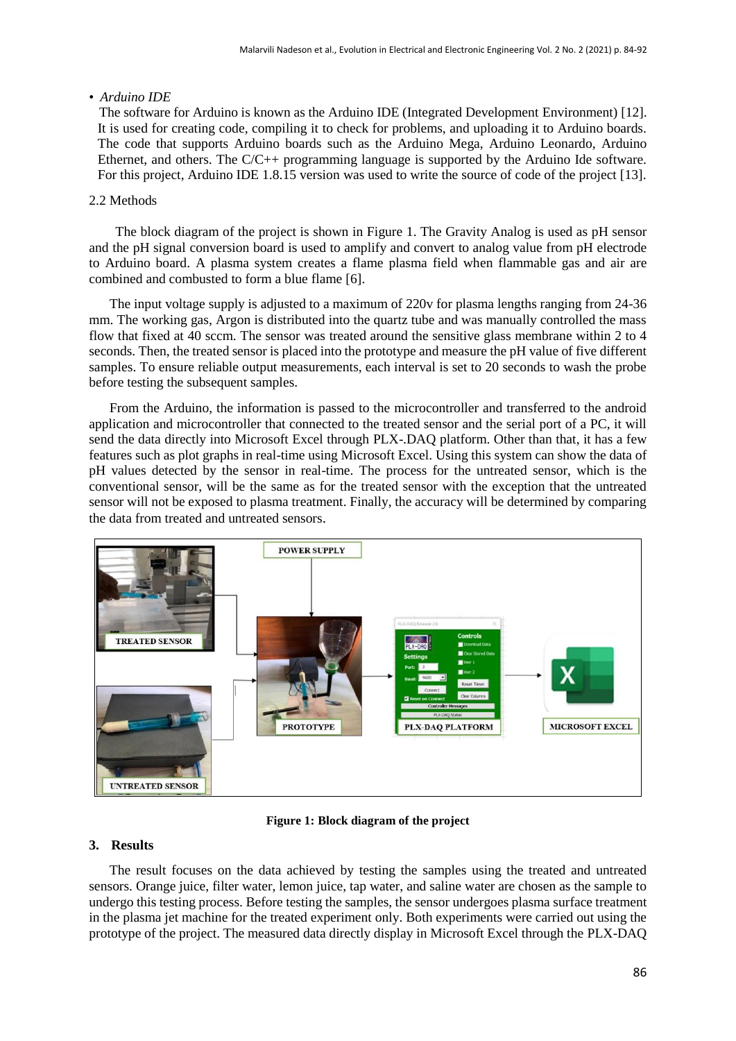# • *Arduino IDE*

 The software for Arduino is known as the Arduino IDE (Integrated Development Environment) [12]. It is used for creating code, compiling it to check for problems, and uploading it to Arduino boards. The code that supports Arduino boards such as the Arduino Mega, Arduino Leonardo, Arduino Ethernet, and others. The C/C++ programming language is supported by the Arduino Ide software. For this project, Arduino IDE 1.8.15 version was used to write the source of code of the project [13].

# 2.2 Methods

The block diagram of the project is shown in Figure 1. The Gravity Analog is used as pH sensor and the pH signal conversion board is used to amplify and convert to analog value from pH electrode to Arduino board. A plasma system creates a flame plasma field when flammable gas and air are combined and combusted to form a blue flame [6].

 The input voltage supply is adjusted to a maximum of 220v for plasma lengths ranging from 24-36 mm. The working gas, Argon is distributed into the quartz tube and was manually controlled the mass flow that fixed at 40 sccm. The sensor was treated around the sensitive glass membrane within 2 to 4 seconds. Then, the treated sensor is placed into the prototype and measure the pH value of five different samples. To ensure reliable output measurements, each interval is set to 20 seconds to wash the probe before testing the subsequent samples.

 From the Arduino, the information is passed to the microcontroller and transferred to the android application and microcontroller that connected to the treated sensor and the serial port of a PC, it will send the data directly into Microsoft Excel through PLX-.DAQ platform. Other than that, it has a few features such as plot graphs in real-time using Microsoft Excel. Using this system can show the data of pH values detected by the sensor in real-time. The process for the untreated sensor, which is the conventional sensor, will be the same as for the treated sensor with the exception that the untreated sensor will not be exposed to plasma treatment. Finally, the accuracy will be determined by comparing the data from treated and untreated sensors.



**Figure 1: Block diagram of the project**

# **3. Results**

 The result focuses on the data achieved by testing the samples using the treated and untreated sensors. Orange juice, filter water, lemon juice, tap water, and saline water are chosen as the sample to undergo this testing process. Before testing the samples, the sensor undergoes plasma surface treatment in the plasma jet machine for the treated experiment only. Both experiments were carried out using the prototype of the project. The measured data directly display in Microsoft Excel through the PLX-DAQ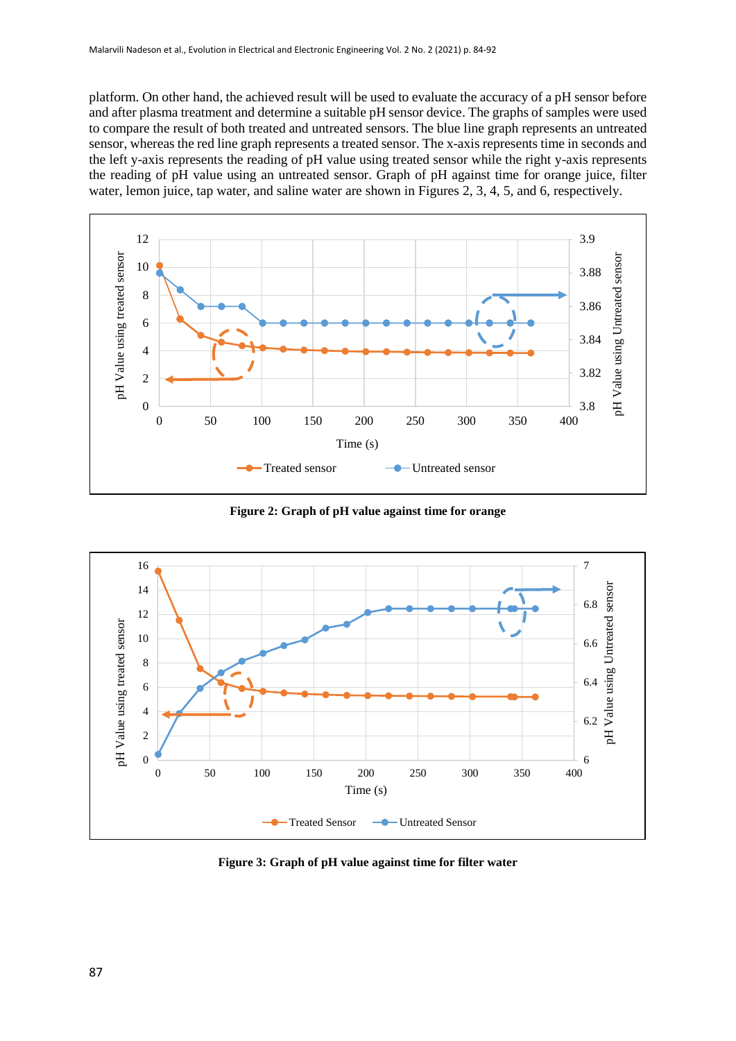platform. On other hand, the achieved result will be used to evaluate the accuracy of a pH sensor before and after plasma treatment and determine a suitable pH sensor device. The graphs of samples were used to compare the result of both treated and untreated sensors. The blue line graph represents an untreated sensor, whereas the red line graph represents a treated sensor. The x-axis represents time in seconds and the left y-axis represents the reading of pH value using treated sensor while the right y-axis represents the reading of pH value using an untreated sensor. Graph of pH against time for orange juice, filter water, lemon juice, tap water, and saline water are shown in Figures 2, 3, 4, 5, and 6, respectively.



**Figure 2: Graph of pH value against time for orange**



**Figure 3: Graph of pH value against time for filter water**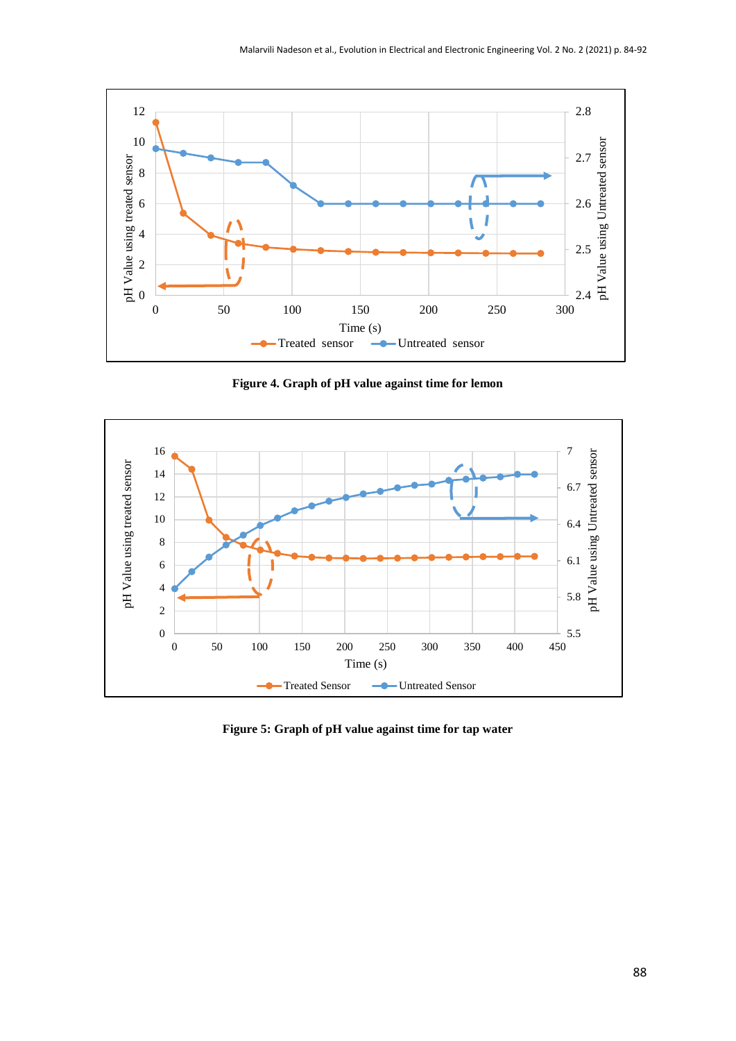

**Figure 4. Graph of pH value against time for lemon**



**Figure 5: Graph of pH value against time for tap water**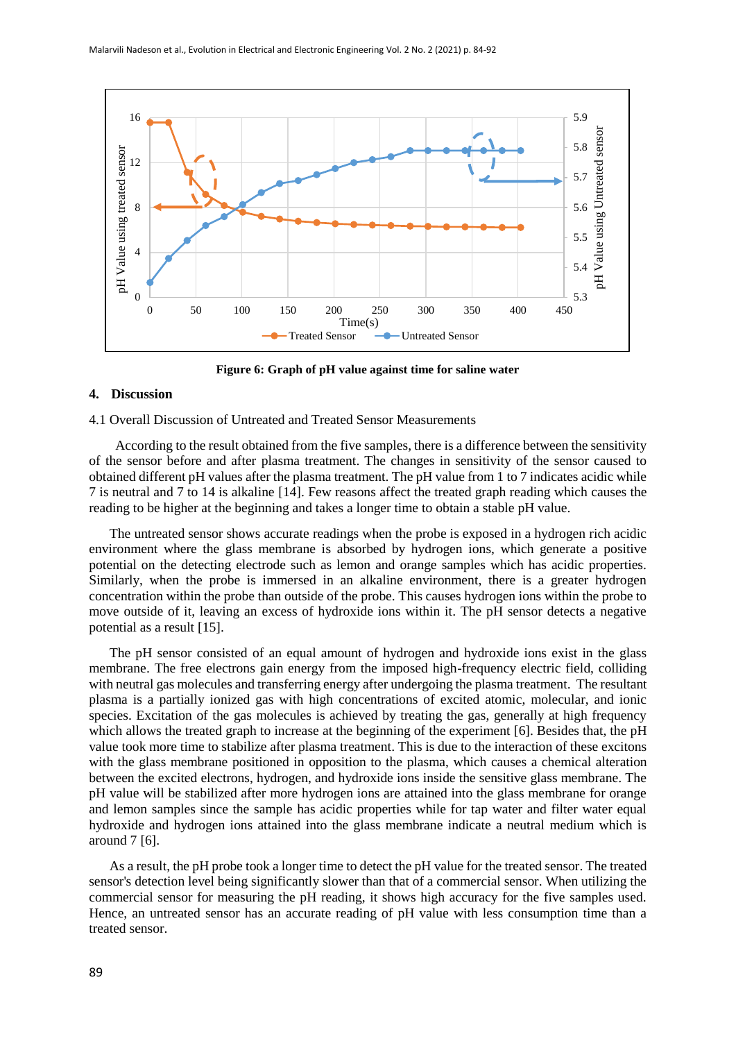

**Figure 6: Graph of pH value against time for saline water**

### **4. Discussion**

4.1 Overall Discussion of Untreated and Treated Sensor Measurements

According to the result obtained from the five samples, there is a difference between the sensitivity of the sensor before and after plasma treatment. The changes in sensitivity of the sensor caused to obtained different pH values after the plasma treatment. The pH value from 1 to 7 indicates acidic while 7 is neutral and 7 to 14 is alkaline [14]. Few reasons affect the treated graph reading which causes the reading to be higher at the beginning and takes a longer time to obtain a stable pH value.

 The untreated sensor shows accurate readings when the probe is exposed in a hydrogen rich acidic environment where the glass membrane is absorbed by hydrogen ions, which generate a positive potential on the detecting electrode such as lemon and orange samples which has acidic properties. Similarly, when the probe is immersed in an alkaline environment, there is a greater hydrogen concentration within the probe than outside of the probe. This causes hydrogen ions within the probe to move outside of it, leaving an excess of hydroxide ions within it. The pH sensor detects a negative potential as a result [15].

 The pH sensor consisted of an equal amount of hydrogen and hydroxide ions exist in the glass membrane. The free electrons gain energy from the imposed high-frequency electric field, colliding with neutral gas molecules and transferring energy after undergoing the plasma treatment. The resultant plasma is a partially ionized gas with high concentrations of excited atomic, molecular, and ionic species. Excitation of the gas molecules is achieved by treating the gas, generally at high frequency which allows the treated graph to increase at the beginning of the experiment [6]. Besides that, the pH value took more time to stabilize after plasma treatment. This is due to the interaction of these excitons with the glass membrane positioned in opposition to the plasma, which causes a chemical alteration between the excited electrons, hydrogen, and hydroxide ions inside the sensitive glass membrane. The pH value will be stabilized after more hydrogen ions are attained into the glass membrane for orange and lemon samples since the sample has acidic properties while for tap water and filter water equal hydroxide and hydrogen ions attained into the glass membrane indicate a neutral medium which is around 7 [6].

 As a result, the pH probe took a longer time to detect the pH value for the treated sensor. The treated sensor's detection level being significantly slower than that of a commercial sensor. When utilizing the commercial sensor for measuring the pH reading, it shows high accuracy for the five samples used. Hence, an untreated sensor has an accurate reading of pH value with less consumption time than a treated sensor.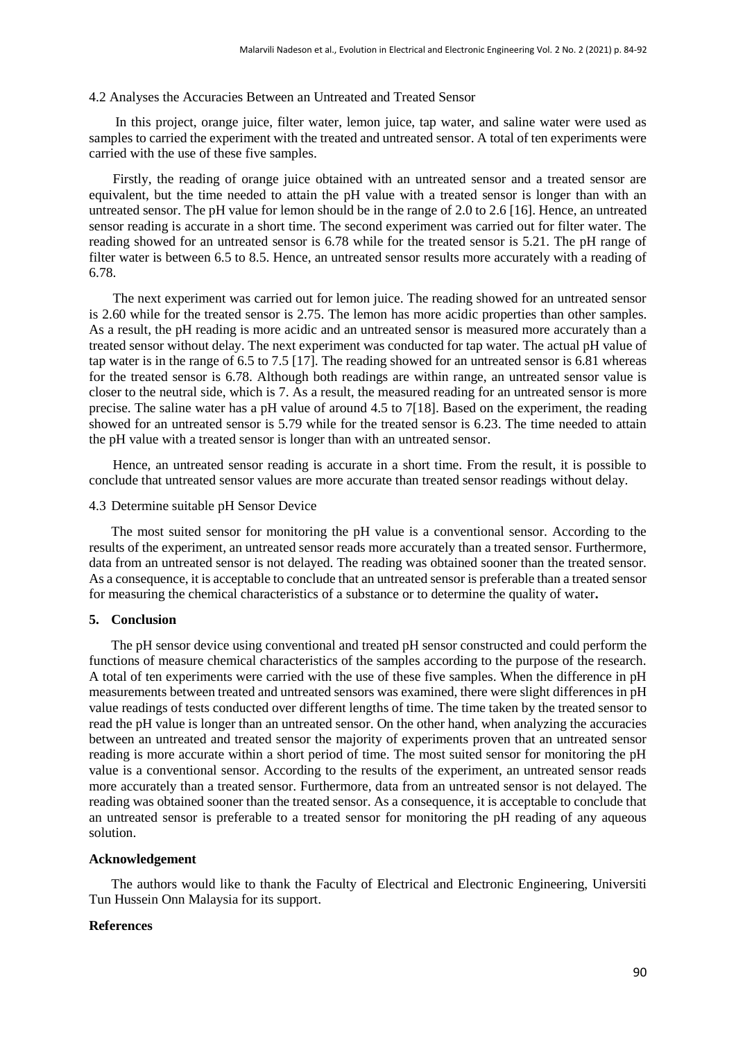#### 4.2 Analyses the Accuracies Between an Untreated and Treated Sensor

In this project, orange juice, filter water, lemon juice, tap water, and saline water were used as samples to carried the experiment with the treated and untreated sensor. A total of ten experiments were carried with the use of these five samples.

 Firstly, the reading of orange juice obtained with an untreated sensor and a treated sensor are equivalent, but the time needed to attain the pH value with a treated sensor is longer than with an untreated sensor. The pH value for lemon should be in the range of 2.0 to 2.6 [16]. Hence, an untreated sensor reading is accurate in a short time. The second experiment was carried out for filter water. The reading showed for an untreated sensor is 6.78 while for the treated sensor is 5.21. The pH range of filter water is between 6.5 to 8.5. Hence, an untreated sensor results more accurately with a reading of 6.78.

 The next experiment was carried out for lemon juice. The reading showed for an untreated sensor is 2.60 while for the treated sensor is 2.75. The lemon has more acidic properties than other samples. As a result, the pH reading is more acidic and an untreated sensor is measured more accurately than a treated sensor without delay. The next experiment was conducted for tap water. The actual pH value of tap water is in the range of 6.5 to 7.5 [17]. The reading showed for an untreated sensor is 6.81 whereas for the treated sensor is 6.78. Although both readings are within range, an untreated sensor value is closer to the neutral side, which is 7. As a result, the measured reading for an untreated sensor is more precise. The saline water has a pH value of around 4.5 to 7[18]. Based on the experiment, the reading showed for an untreated sensor is 5.79 while for the treated sensor is 6.23. The time needed to attain the pH value with a treated sensor is longer than with an untreated sensor.

 Hence, an untreated sensor reading is accurate in a short time. From the result, it is possible to conclude that untreated sensor values are more accurate than treated sensor readings without delay.

### 4.3 Determine suitable pH Sensor Device

The most suited sensor for monitoring the pH value is a conventional sensor. According to the results of the experiment, an untreated sensor reads more accurately than a treated sensor. Furthermore, data from an untreated sensor is not delayed. The reading was obtained sooner than the treated sensor. As a consequence, it is acceptable to conclude that an untreated sensor is preferable than a treated sensor for measuring the chemical characteristics of a substance or to determine the quality of water**.**

#### **5. Conclusion**

The pH sensor device using conventional and treated pH sensor constructed and could perform the functions of measure chemical characteristics of the samples according to the purpose of the research. A total of ten experiments were carried with the use of these five samples. When the difference in pH measurements between treated and untreated sensors was examined, there were slight differences in pH value readings of tests conducted over different lengths of time. The time taken by the treated sensor to read the pH value is longer than an untreated sensor. On the other hand, when analyzing the accuracies between an untreated and treated sensor the majority of experiments proven that an untreated sensor reading is more accurate within a short period of time. The most suited sensor for monitoring the pH value is a conventional sensor. According to the results of the experiment, an untreated sensor reads more accurately than a treated sensor. Furthermore, data from an untreated sensor is not delayed. The reading was obtained sooner than the treated sensor. As a consequence, it is acceptable to conclude that an untreated sensor is preferable to a treated sensor for monitoring the pH reading of any aqueous solution.

# **Acknowledgement**

The authors would like to thank the Faculty of Electrical and Electronic Engineering, Universiti Tun Hussein Onn Malaysia for its support.

## **References**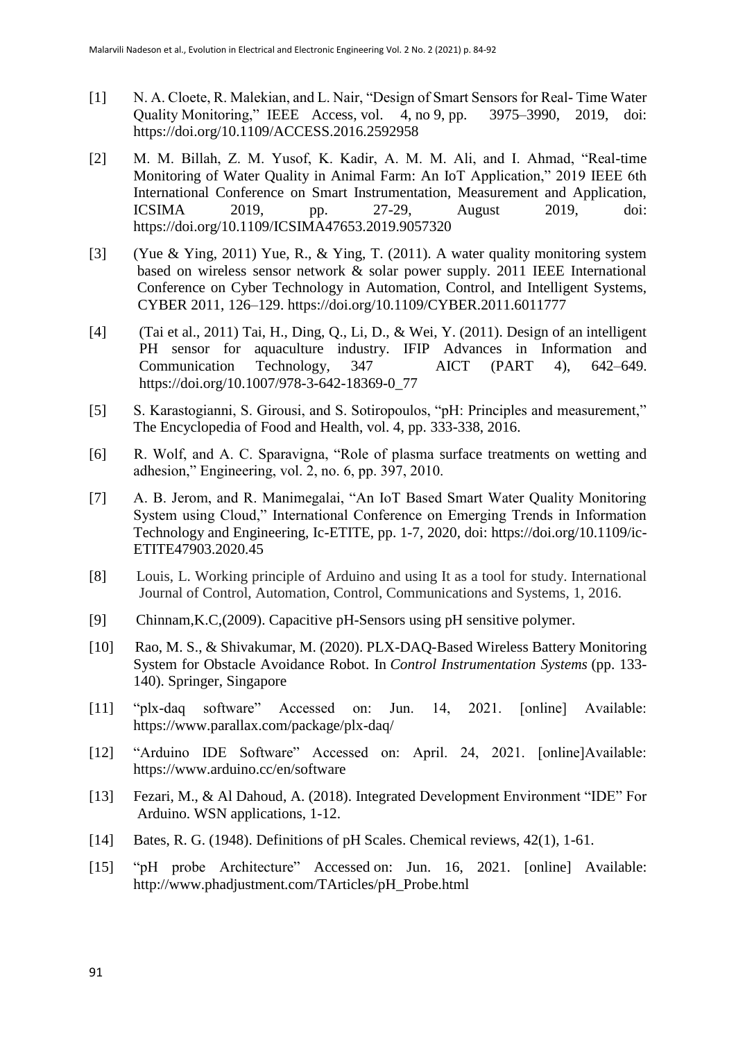- [1] N. A. Cloete, R. Malekian, and L. Nair, "Design of Smart Sensors for Real- Time Water Quality Monitoring," IEEE Access, vol. 4, no 9, pp. 3975–3990, 2019, doi: https://doi.org/10.1109/ACCESS.2016.2592958
- [2] M. M. Billah, Z. M. Yusof, K. Kadir, A. M. M. Ali, and I. Ahmad, "Real-time Monitoring of Water Quality in Animal Farm: An IoT Application," 2019 IEEE 6th International Conference on Smart Instrumentation, Measurement and Application, ICSIMA 2019, pp. 27-29, August 2019, doi: <https://doi.org/10.1109/ICSIMA47653.2019.9057320>
- [3] (Yue & Ying, 2011) Yue, R., & Ying, T. (2011). A water quality monitoring system based on wireless sensor network & solar power supply. 2011 IEEE International Conference on Cyber Technology in Automation, Control, and Intelligent Systems, CYBER 2011, 126–129. <https://doi.org/10.1109/CYBER.2011.6011777>
- [4] (Tai et al., 2011) Tai, H., Ding, Q., Li, D., & Wei, Y. (2011). Design of an intelligent PH sensor for aquaculture industry. IFIP Advances in Information and Communication Technology, 347 AICT (PART 4), 642–649. [https://doi.org/10.1007/978-3-642-18369-0\\_77](https://doi.org/10.1007/978-3-642-18369-0_77)
- [5] S. Karastogianni, S. Girousi, and S. Sotiropoulos, "pH: Principles and measurement," The Encyclopedia of Food and Health, vol. 4, pp. 333-338, 2016.
- [6] R. Wolf, and A. C. Sparavigna, "Role of plasma surface treatments on wetting and adhesion," Engineering, vol. 2, no. 6, pp. 397, 2010.
- [7] A. B. Jerom, and R. Manimegalai, "An IoT Based Smart Water Quality Monitoring System using Cloud," International Conference on Emerging Trends in Information Technology and Engineering, Ic-ETITE, pp. 1-7, 2020, doi: [https://doi.org/10.1109/ic-](https://doi.org/10.1109/ic-ETITE47903.2020.45)[ETITE47903.2020.45](https://doi.org/10.1109/ic-ETITE47903.2020.45)
- [8] Louis, L. Working principle of Arduino and using It as a tool for study. International Journal of Control, Automation, Control, Communications and Systems, 1, 2016.
- [9] Chinnam,K.C,(2009). Capacitive pH-Sensors using pH sensitive polymer.
- [10] Rao, M. S., & Shivakumar, M. (2020). PLX-DAQ-Based Wireless Battery Monitoring System for Obstacle Avoidance Robot. In *Control Instrumentation Systems* (pp. 133- 140). Springer, Singapore
- [11] "plx-daq software" Accessed on: Jun. 14, 2021. [online] Available: <https://www.parallax.com/package/plx-daq/>
- [12] "Arduino IDE Software" Accessed on: April. 24, 2021. [online]Available: <https://www.arduino.cc/en/software>
- [13] Fezari, M., & Al Dahoud, A. (2018). Integrated Development Environment "IDE" For Arduino. WSN applications, 1-12.
- [14] Bates, R. G. (1948). Definitions of pH Scales. Chemical reviews, 42(1), 1-61.
- [15] "pH probe Architecture" Accessed on: Jun. 16, 2021. [online] Available: [http://www.phadjustment.com/TArticles/pH\\_Probe.html](http://www.phadjustment.com/TArticles/pH_Probe.html)